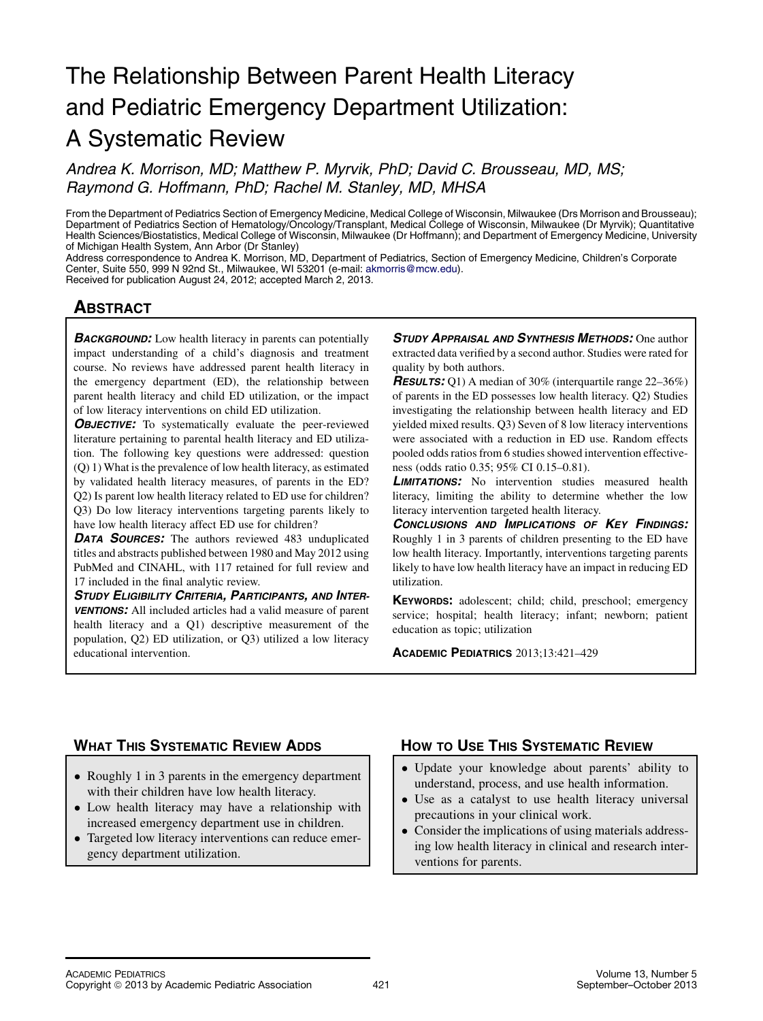## The Relationship Between Parent Health Literacy and Pediatric Emergency Department Utilization: A Systematic Review

Andrea K. Morrison, MD; Matthew P. Myrvik, PhD; David C. Brousseau, MD, MS; Raymond G. Hoffmann, PhD; Rachel M. Stanley, MD, MHSA

From the Department of Pediatrics Section of Emergency Medicine, Medical College of Wisconsin, Milwaukee (Drs Morrison and Brousseau); Department of Pediatrics Section of Hematology/Oncology/Transplant, Medical College of Wisconsin, Milwaukee (Dr Myrvik); Quantitative Health Sciences/Biostatistics, Medical College of Wisconsin, Milwaukee (Dr Hoffmann); and Department of Emergency Medicine, University of Michigan Health System, Ann Arbor (Dr Stanley)

Address correspondence to Andrea K. Morrison, MD, Department of Pediatrics, Section of Emergency Medicine, Children's Corporate Center, Suite 550, 999 N 92nd St., Milwaukee, WI 53201 (e-mail: [akmorris@mcw.edu\)](mailto:akmorris@mcw.edu). Received for publication August 24, 2012; accepted March 2, 2013.

# <u>ABSOLUTE A BASE A</u>

**BACKGROUND:** Low health literacy in parents can potentially impact understanding of a child's diagnosis and treatment course. No reviews have addressed parent health literacy in the emergency department (ED), the relationship between parent health literacy and child ED utilization, or the impact of low literacy interventions on child ED utilization.

**OBJECTIVE:** To systematically evaluate the peer-reviewed literature pertaining to parental health literacy and ED utilization. The following key questions were addressed: question (Q) 1) What is the prevalence of low health literacy, as estimated by validated health literacy measures, of parents in the ED? Q2) Is parent low health literacy related to ED use for children? Q3) Do low literacy interventions targeting parents likely to have low health literacy affect ED use for children?

**DATA SOURCES:** The authors reviewed 483 unduplicated titles and abstracts published between 1980 and May 2012 using PubMed and CINAHL, with 117 retained for full review and 17 included in the final analytic review.

STUDY ELIGIBILITY CRITERIA, PARTICIPANTS, AND INTER-VENTIONS: All included articles had a valid measure of parent health literacy and a Q1) descriptive measurement of the population, Q2) ED utilization, or Q3) utilized a low literacy educational intervention.

STUDY APPRAISAL AND SYNTHESIS METHODS: One author extracted data verified by a second author. Studies were rated for quality by both authors.

**RESULTS:** Q1) A median of 30% (interquartile range  $22-36%$ ) of parents in the ED possesses low health literacy. Q2) Studies investigating the relationship between health literacy and ED yielded mixed results. Q3) Seven of 8 low literacy interventions were associated with a reduction in ED use. Random effects pooled odds ratios from 6 studies showed intervention effectiveness (odds ratio 0.35; 95% CI 0.15–0.81).

**LIMITATIONS:** No intervention studies measured health literacy, limiting the ability to determine whether the low literacy intervention targeted health literacy.

CONCLUSIONS AND IMPLICATIONS OF KEY FINDINGS: Roughly 1 in 3 parents of children presenting to the ED have low health literacy. Importantly, interventions targeting parents likely to have low health literacy have an impact in reducing ED utilization.

KEYWORDS: adolescent; child; child, preschool; emergency service; hospital; health literacy; infant; newborn; patient education as topic; utilization

ACADEMIC PEDIATRICS 2013;13:421–429

## **WHAT THIS SYSTEMATIC REVIEW ADDS** <u>What this systematic review add</u>

- Roughly 1 in 3 parents in the emergency department with their children have low health literacy.
- Low health literacy may have a relationship with increased emergency department use in children.
- Targeted low literacy interventions can reduce emergency department utilization.

## **HOW TO USE THIS SYSTEMATIC REVIEW**

- How to use the distribution of the state of the state of the state of the state of the state of the state of the state of the state of the state of the state of the state of the state of the state of the state of the state Update your knowledge about parents' ability to understand, process, and use health information.
- Use as a catalyst to use health literacy universal precautions in your clinical work.
- Consider the implications of using materials addressing low health literacy in clinical and research interventions for parents.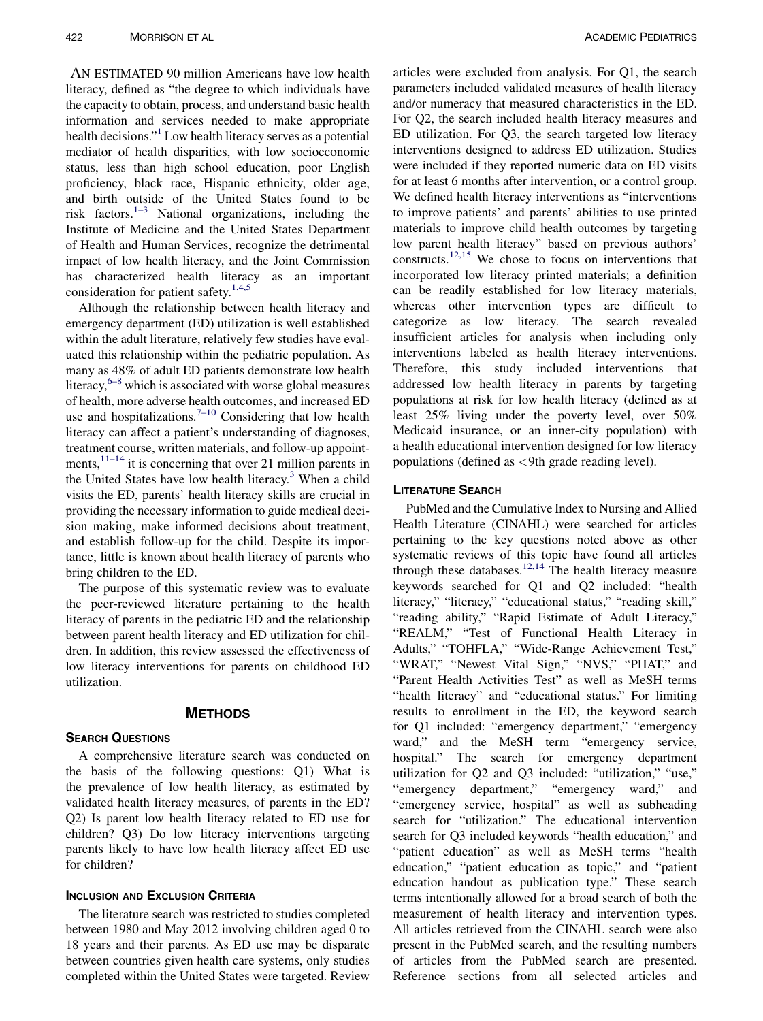AN ESTIMATED 90 million Americans have low health literacy, defined as "the degree to which individuals have the capacity to obtain, process, and understand basic health information and services needed to make appropriate health decisions."<sup>1</sup> Low health literacy serves as a potential mediator of health disparities, with low socioeconomic status, less than high school education, poor English proficiency, black race, Hispanic ethnicity, older age, and birth outside of the United States found to be risk factors.<sup>[1–3](#page-7-0)</sup> National organizations, including the Institute of Medicine and the United States Department of Health and Human Services, recognize the detrimental impact of low health literacy, and the Joint Commission has characterized health literacy as an important consideration for patient safety.<sup>[1,4,5](#page-7-0)</sup>

Although the relationship between health literacy and emergency department (ED) utilization is well established within the adult literature, relatively few studies have evaluated this relationship within the pediatric population. As many as 48% of adult ED patients demonstrate low health literacy, $6-8$  which is associated with worse global measures of health, more adverse health outcomes, and increased ED use and hospitalizations.<sup>7-10</sup> Considering that low health literacy can affect a patient's understanding of diagnoses, treatment course, written materials, and follow-up appointments,  $1^{1-14}$  it is concerning that over 21 million parents in the United States have low health literacy.<sup>[3](#page-7-0)</sup> When a child visits the ED, parents' health literacy skills are crucial in providing the necessary information to guide medical decision making, make informed decisions about treatment, and establish follow-up for the child. Despite its importance, little is known about health literacy of parents who bring children to the ED.

The purpose of this systematic review was to evaluate the peer-reviewed literature pertaining to the health literacy of parents in the pediatric ED and the relationship between parent health literacy and ED utilization for children. In addition, this review assessed the effectiveness of low literacy interventions for parents on childhood ED utilization.

## METHODS

A comprehensive literature search was conducted on the basis of the following questions: Q1) What is the prevalence of low health literacy, as estimated by validated health literacy measures, of parents in the ED? Q2) Is parent low health literacy related to ED use for children? Q3) Do low literacy interventions targeting parents likely to have low health literacy affect ED use for children?

## **INCLUSION AND EXCLUSION CRITERIA**

The literature search was restricted to studies completed between 1980 and May 2012 involving children aged 0 to 18 years and their parents. As ED use may be disparate between countries given health care systems, only studies completed within the United States were targeted. Review

articles were excluded from analysis. For Q1, the search parameters included validated measures of health literacy and/or numeracy that measured characteristics in the ED. For Q2, the search included health literacy measures and ED utilization. For Q3, the search targeted low literacy interventions designed to address ED utilization. Studies were included if they reported numeric data on ED visits for at least 6 months after intervention, or a control group. We defined health literacy interventions as "interventions to improve patients' and parents' abilities to use printed materials to improve child health outcomes by targeting low parent health literacy" based on previous authors' constructs.<sup>[12,15](#page-7-0)</sup> We chose to focus on interventions that incorporated low literacy printed materials; a definition can be readily established for low literacy materials, whereas other intervention types are difficult to categorize as low literacy. The search revealed insufficient articles for analysis when including only interventions labeled as health literacy interventions. Therefore, this study included interventions that addressed low health literacy in parents by targeting populations at risk for low health literacy (defined as at least 25% living under the poverty level, over 50% Medicaid insurance, or an inner-city population) with a health educational intervention designed for low literacy populations (defined as <9th grade reading level).

LITERATURE SEARCH PubMed and the Cumulative Index to Nursing and Allied Health Literature (CINAHL) were searched for articles pertaining to the key questions noted above as other systematic reviews of this topic have found all articles through these databases.<sup>[12,14](#page-7-0)</sup> The health literacy measure keywords searched for Q1 and Q2 included: "health literacy," "literacy," "educational status," "reading skill," "reading ability," "Rapid Estimate of Adult Literacy," "REALM," "Test of Functional Health Literacy in Adults," "TOHFLA," "Wide-Range Achievement Test," "WRAT," "Newest Vital Sign," "NVS," "PHAT," and "Parent Health Activities Test" as well as MeSH terms "health literacy" and "educational status." For limiting results to enrollment in the ED, the keyword search for Q1 included: "emergency department," "emergency ward," and the MeSH term "emergency service, hospital." The search for emergency department utilization for Q2 and Q3 included: "utilization," "use," "emergency department," "emergency ward," and "emergency service, hospital" as well as subheading search for "utilization." The educational intervention search for Q3 included keywords "health education," and "patient education" as well as MeSH terms "health education," "patient education as topic," and "patient education handout as publication type." These search terms intentionally allowed for a broad search of both the measurement of health literacy and intervention types. All articles retrieved from the CINAHL search were also present in the PubMed search, and the resulting numbers of articles from the PubMed search are presented. Reference sections from all selected articles and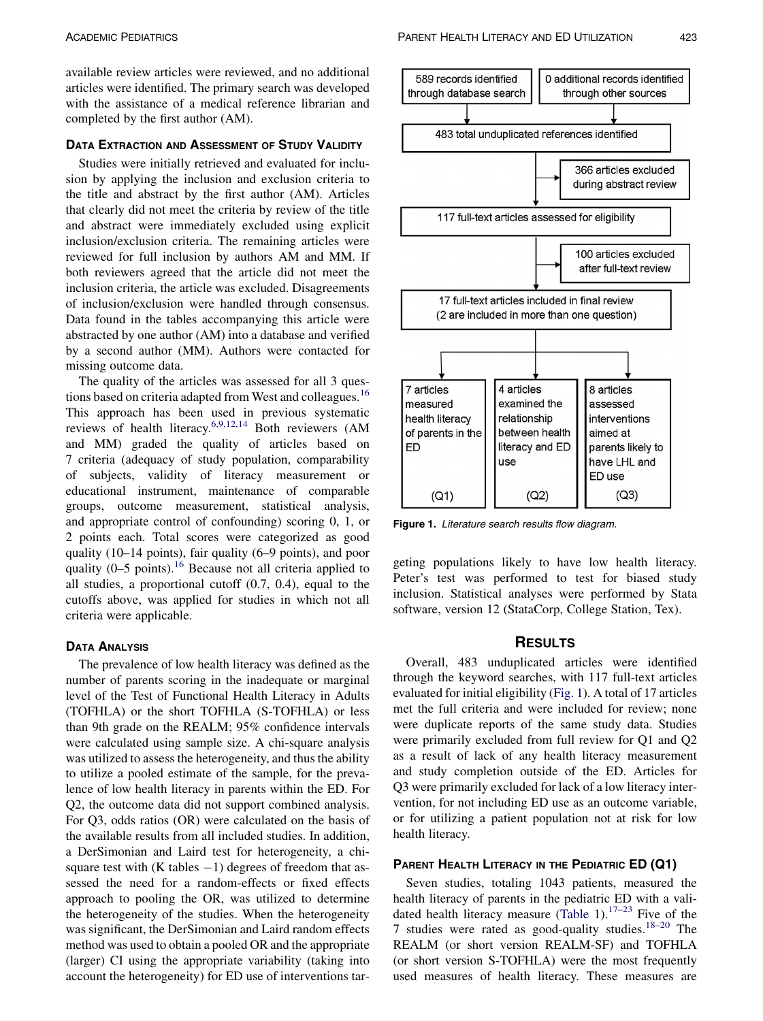ACADEMIC PEDIATRICS PARENT HEALTH LITERACY AND ED UTILIZATION 423

available review articles were reviewed, and no additional articles were identified. The primary search was developed with the assistance of a medical reference librarian and completed by the first author (AM).

Studies were initially retrieved and evaluated for inclusion by applying the inclusion and exclusion criteria to the title and abstract by the first author (AM). Articles that clearly did not meet the criteria by review of the title and abstract were immediately excluded using explicit inclusion/exclusion criteria. The remaining articles were reviewed for full inclusion by authors AM and MM. If both reviewers agreed that the article did not meet the inclusion criteria, the article was excluded. Disagreements of inclusion/exclusion were handled through consensus. Data found in the tables accompanying this article were abstracted by one author (AM) into a database and verified by a second author (MM). Authors were contacted for missing outcome data.

The quality of the articles was assessed for all 3 ques-tions based on criteria adapted from West and colleagues.<sup>[16](#page-7-0)</sup> This approach has been used in previous systematic reviews of health literacy.[6,9,12,14](#page-7-0) Both reviewers (AM and MM) graded the quality of articles based on 7 criteria (adequacy of study population, comparability of subjects, validity of literacy measurement or educational instrument, maintenance of comparable groups, outcome measurement, statistical analysis, and appropriate control of confounding) scoring 0, 1, or 2 points each. Total scores were categorized as good quality (10–14 points), fair quality (6–9 points), and poor quality  $(0-5 \text{ points})$ .<sup>[16](#page-7-0)</sup> Because not all criteria applied to all studies, a proportional cutoff (0.7, 0.4), equal to the cutoffs above, was applied for studies in which not all criteria were applicable.

The prevalence of low health literacy was defined as the number of parents scoring in the inadequate or marginal level of the Test of Functional Health Literacy in Adults (TOFHLA) or the short TOFHLA (S-TOFHLA) or less than 9th grade on the REALM; 95% confidence intervals were calculated using sample size. A chi-square analysis was utilized to assess the heterogeneity, and thus the ability to utilize a pooled estimate of the sample, for the prevalence of low health literacy in parents within the ED. For Q2, the outcome data did not support combined analysis. For Q3, odds ratios (OR) were calculated on the basis of the available results from all included studies. In addition, a DerSimonian and Laird test for heterogeneity, a chisquare test with  $(K$  tables  $-1)$  degrees of freedom that assessed the need for a random-effects or fixed effects approach to pooling the OR, was utilized to determine the heterogeneity of the studies. When the heterogeneity was significant, the DerSimonian and Laird random effects method was used to obtain a pooled OR and the appropriate (larger) CI using the appropriate variability (taking into account the heterogeneity) for ED use of interventions tar-



Figure 1. Literature search results flow diagram.

geting populations likely to have low health literacy. Peter's test was performed to test for biased study inclusion. Statistical analyses were performed by Stata software, version 12 (StataCorp, College Station, Tex).

## **RESULTS**

Overall, 483 unduplicated articles were identified through the keyword searches, with 117 full-text articles evaluated for initial eligibility (Fig. 1). A total of 17 articles met the full criteria and were included for review; none were duplicate reports of the same study data. Studies were primarily excluded from full review for Q1 and Q2 as a result of lack of any health literacy measurement and study completion outside of the ED. Articles for Q3 were primarily excluded for lack of a low literacy intervention, for not including ED use as an outcome variable, or for utilizing a patient population not at risk for low health literacy.

Seven studies, totaling 1043 patients, measured the health literacy of parents in the pediatric ED with a vali-dated health literacy measure ([Table 1\)](#page-3-0).<sup>[17–23](#page-7-0)</sup> Five of the 7 studies were rated as good-quality studies. $18-20$  The REALM (or short version REALM-SF) and TOFHLA (or short version S-TOFHLA) were the most frequently used measures of health literacy. These measures are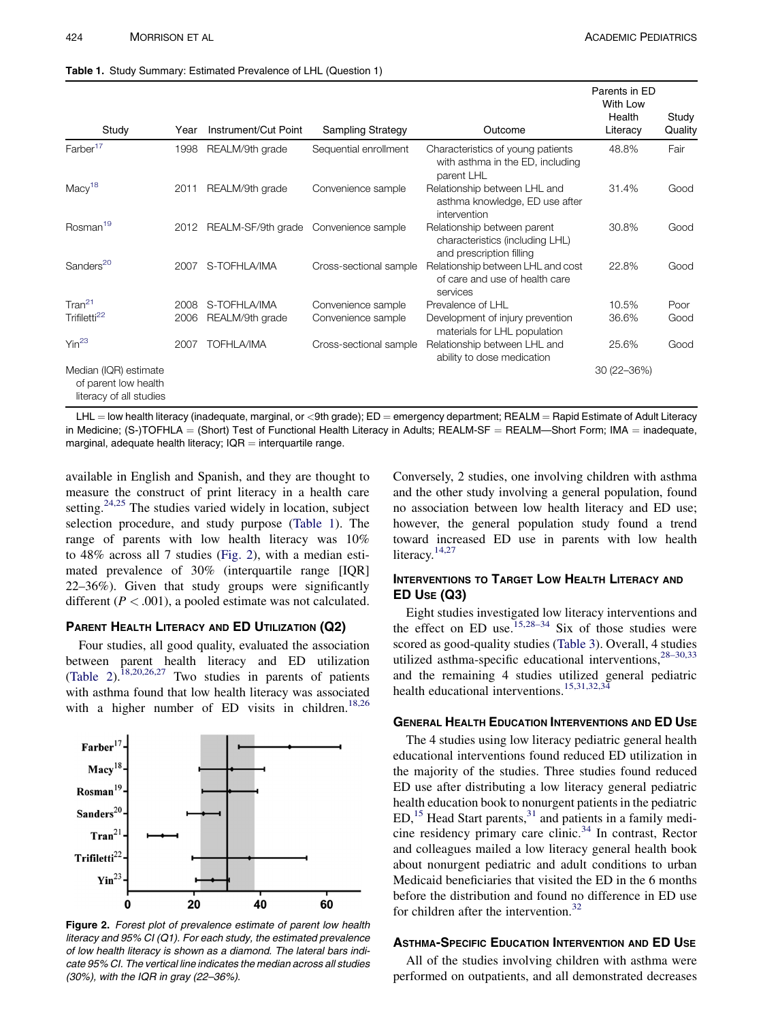<span id="page-3-0"></span>

| Table 1. Study Summary: Estimated Prevalence of LHL (Question 1) |  |
|------------------------------------------------------------------|--|
|                                                                  |  |

|                                                                          |      |                      |                          |                                                                                            | Parents in ED<br>With Low<br>Health | Study   |
|--------------------------------------------------------------------------|------|----------------------|--------------------------|--------------------------------------------------------------------------------------------|-------------------------------------|---------|
| Study                                                                    | Year | Instrument/Cut Point | <b>Sampling Strategy</b> | Outcome                                                                                    | Literacy                            | Quality |
| Farber <sup>17</sup>                                                     | 1998 | REALM/9th grade      | Sequential enrollment    | Characteristics of young patients<br>with asthma in the ED, including<br>parent LHL        | 48.8%                               | Fair    |
| Macy <sup>18</sup>                                                       | 2011 | REALM/9th grade      | Convenience sample       | Relationship between LHL and<br>asthma knowledge, ED use after<br>intervention             | 31.4%                               | Good    |
| Rosman <sup>19</sup>                                                     | 2012 | REALM-SF/9th grade   | Convenience sample       | Relationship between parent<br>characteristics (including LHL)<br>and prescription filling | 30.8%                               | Good    |
| Sanders <sup>20</sup>                                                    | 2007 | S-TOFHLA/IMA         | Cross-sectional sample   | Relationship between LHL and cost<br>of care and use of health care<br>services            | 22.8%                               | Good    |
| Tran <sup>21</sup>                                                       | 2008 | S-TOFHLA/IMA         | Convenience sample       | Prevalence of LHL                                                                          | 10.5%                               | Poor    |
| Trifiletti <sup>22</sup>                                                 | 2006 | REALM/9th grade      | Convenience sample       | Development of injury prevention<br>materials for LHL population                           | 36.6%                               | Good    |
| $Yin^{23}$                                                               | 2007 | <b>TOFHLA/IMA</b>    | Cross-sectional sample   | Relationship between LHL and<br>ability to dose medication                                 | 25.6%                               | Good    |
| Median (IQR) estimate<br>of parent low health<br>literacy of all studies |      |                      |                          |                                                                                            | 30 (22-36%)                         |         |

LHL = low health literacy (inadequate, marginal, or <9th grade); ED = emergency department; REALM = Rapid Estimate of Adult Literacy in Medicine; (S-)TOFHLA = (Short) Test of Functional Health Literacy in Adults; REALM-SF = REALM-Short Form; IMA = inadequate, marginal, adequate health literacy;  $IQR =$  interquartile range.

available in English and Spanish, and they are thought to measure the construct of print literacy in a health care setting.[24,25](#page-7-0) The studies varied widely in location, subject selection procedure, and study purpose (Table 1). The range of parents with low health literacy was 10% to 48% across all 7 studies (Fig. 2), with a median estimated prevalence of 30% (interquartile range [IQR] 22–36%). Given that study groups were significantly different ( $P < .001$ ), a pooled estimate was not calculated.

Four studies, all good quality, evaluated the association between parent health literacy and ED utilization ([Table 2\)](#page-4-0).  $18,20,26,27$  Two studies in parents of patients with asthma found that low health literacy was associated with a higher number of ED visits in children.<sup>18,26</sup>



Figure 2. Forest plot of prevalence estimate of parent low health literacy and 95% CI (Q1). For each study, the estimated prevalence of low health literacy is shown as a diamond. The lateral bars indicate 95% CI. The vertical line indicates the median across all studies (30%), with the IQR in gray (22–36%).

Conversely, 2 studies, one involving children with asthma and the other study involving a general population, found no association between low health literacy and ED use; however, the general population study found a trend toward increased ED use in parents with low health literacy. $14,27$ 

## INTERVENTIONS TO TARGET LOW HEALTH LITERACY AND<br>ED USE (Q3)

Eight studies investigated low literacy interventions and the effect on ED use.<sup>[15,28–34](#page-7-0)</sup> Six of those studies were scored as good-quality studies [\(Table 3\)](#page-5-0). Overall, 4 studies utilized asthma-specific educational interventions,  $28-30,33$ and the remaining 4 studies utilized general pediatric health educational interventions.<sup>[15,31,32,34](#page-7-0)</sup>

The 4 studies using low literacy pediatric general health educational interventions found reduced ED utilization in the majority of the studies. Three studies found reduced ED use after distributing a low literacy general pediatric health education book to nonurgent patients in the pediatric  $ED<sub>15</sub>$  $ED<sub>15</sub>$  $ED<sub>15</sub>$  Head Start parents,<sup>[31](#page-8-0)</sup> and patients in a family medi-cine residency primary care clinic.<sup>[34](#page-8-0)</sup> In contrast, Rector and colleagues mailed a low literacy general health book about nonurgent pediatric and adult conditions to urban Medicaid beneficiaries that visited the ED in the 6 months before the distribution and found no difference in ED use for children after the intervention.<sup>[32](#page-8-0)</sup>

All of the studies involving children with asthma were performed on outpatients, and all demonstrated decreases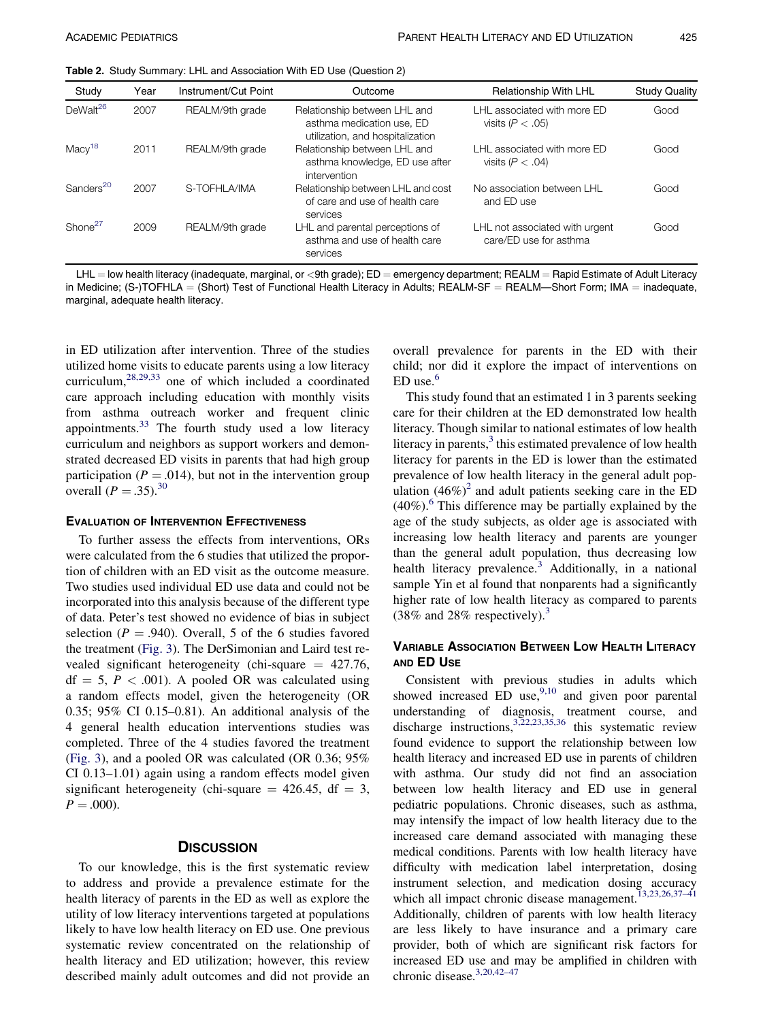<span id="page-4-0"></span>Table 2. Study Summary: LHL and Association With ED Use (Question 2)

| Study                 | Year | Instrument/Cut Point | Outcome                                                                                       | Relationship With LHL                                    | <b>Study Quality</b> |
|-----------------------|------|----------------------|-----------------------------------------------------------------------------------------------|----------------------------------------------------------|----------------------|
| DeWalt <sup>26</sup>  | 2007 | REALM/9th grade      | Relationship between LHL and<br>asthma medication use, ED<br>utilization, and hospitalization | LHL associated with more ED<br>visits ( $P < .05$ )      | Good                 |
| Macy <sup>18</sup>    | 2011 | REALM/9th grade      | Relationship between LHL and<br>asthma knowledge, ED use after<br>intervention                | LHL associated with more ED<br>visits ( $P < .04$ )      | Good                 |
| Sanders <sup>20</sup> | 2007 | S-TOFHLA/IMA         | Relationship between LHL and cost<br>of care and use of health care<br>services               | No association between LHL<br>and ED use                 | Good                 |
| Shone <sup>27</sup>   | 2009 | REALM/9th grade      | LHL and parental perceptions of<br>asthma and use of health care<br>services                  | LHL not associated with urgent<br>care/ED use for asthma | Good                 |

LHL = low health literacy (inadequate, marginal, or <9th grade); ED = emergency department; REALM = Rapid Estimate of Adult Literacy in Medicine; (S-)TOFHLA = (Short) Test of Functional Health Literacy in Adults; REALM-SF = REALM-Short Form; IMA = inadequate, marginal, adequate health literacy.

in ED utilization after intervention. Three of the studies utilized home visits to educate parents using a low literacy curriculum,[28,29,33](#page-7-0) one of which included a coordinated care approach including education with monthly visits from asthma outreach worker and frequent clinic appointments. $^{33}$  $^{33}$  $^{33}$  The fourth study used a low literacy curriculum and neighbors as support workers and demonstrated decreased ED visits in parents that had high group participation ( $P = .014$ ), but not in the intervention group overall  $(P = .35)$ .<sup>[30](#page-8-0)</sup>

To further assess the effects from interventions, ORs were calculated from the 6 studies that utilized the proportion of children with an ED visit as the outcome measure. Two studies used individual ED use data and could not be incorporated into this analysis because of the different type of data. Peter's test showed no evidence of bias in subject selection ( $P = .940$ ). Overall, 5 of the 6 studies favored the treatment ([Fig. 3](#page-6-0)). The DerSimonian and Laird test revealed significant heterogeneity (chi-square  $= 427.76$ ,  $df = 5$ ,  $P < .001$ ). A pooled OR was calculated using a random effects model, given the heterogeneity (OR 0.35; 95% CI 0.15–0.81). An additional analysis of the 4 general health education interventions studies was completed. Three of the 4 studies favored the treatment ([Fig. 3\)](#page-6-0), and a pooled OR was calculated (OR 0.36; 95% CI 0.13–1.01) again using a random effects model given significant heterogeneity (chi-square  $= 426.45$ , df  $= 3$ ,  $P = .000$ ).

To our knowledge, this is the first systematic review to address and provide a prevalence estimate for the health literacy of parents in the ED as well as explore the utility of low literacy interventions targeted at populations likely to have low health literacy on ED use. One previous systematic review concentrated on the relationship of health literacy and ED utilization; however, this review described mainly adult outcomes and did not provide an

overall prevalence for parents in the ED with their child; nor did it explore the impact of interventions on  $ED$  use. $<sup>6</sup>$  $<sup>6</sup>$  $<sup>6</sup>$ </sup>

This study found that an estimated 1 in 3 parents seeking care for their children at the ED demonstrated low health literacy. Though similar to national estimates of low health literacy in parents, $3$  this estimated prevalence of low health literacy for parents in the ED is lower than the estimated prevalence of low health literacy in the general adult population  $(46\%)^2$  $(46\%)^2$  and adult patients seeking care in the ED  $(40\%)$ <sup>[6](#page-7-0)</sup>. This difference may be partially explained by the age of the study subjects, as older age is associated with increasing low health literacy and parents are younger than the general adult population, thus decreasing low health literacy prevalence.<sup>[3](#page-7-0)</sup> Additionally, in a national sample Yin et al found that nonparents had a significantly higher rate of low health literacy as compared to parents (38% and 28% respectively).<sup>3</sup>

## VARIABLE ASSOCIATION BETWEEN LOW HEALTH LITERACY

AND ED USE<br>Consistent with previous studies in adults which showed increased  $ED$  use,  $9,10$  and given poor parental understanding of diagnosis, treatment course, and discharge instructions,  $3,22,23,35,36$  this systematic review found evidence to support the relationship between low health literacy and increased ED use in parents of children with asthma. Our study did not find an association between low health literacy and ED use in general pediatric populations. Chronic diseases, such as asthma, may intensify the impact of low health literacy due to the increased care demand associated with managing these medical conditions. Parents with low health literacy have difficulty with medication label interpretation, dosing instrument selection, and medication dosing accuracy which all impact chronic disease management.<sup>13,23,26,37-41</sup> Additionally, children of parents with low health literacy are less likely to have insurance and a primary care provider, both of which are significant risk factors for increased ED use and may be amplified in children with chronic disease.[3,20,42–47](#page-7-0)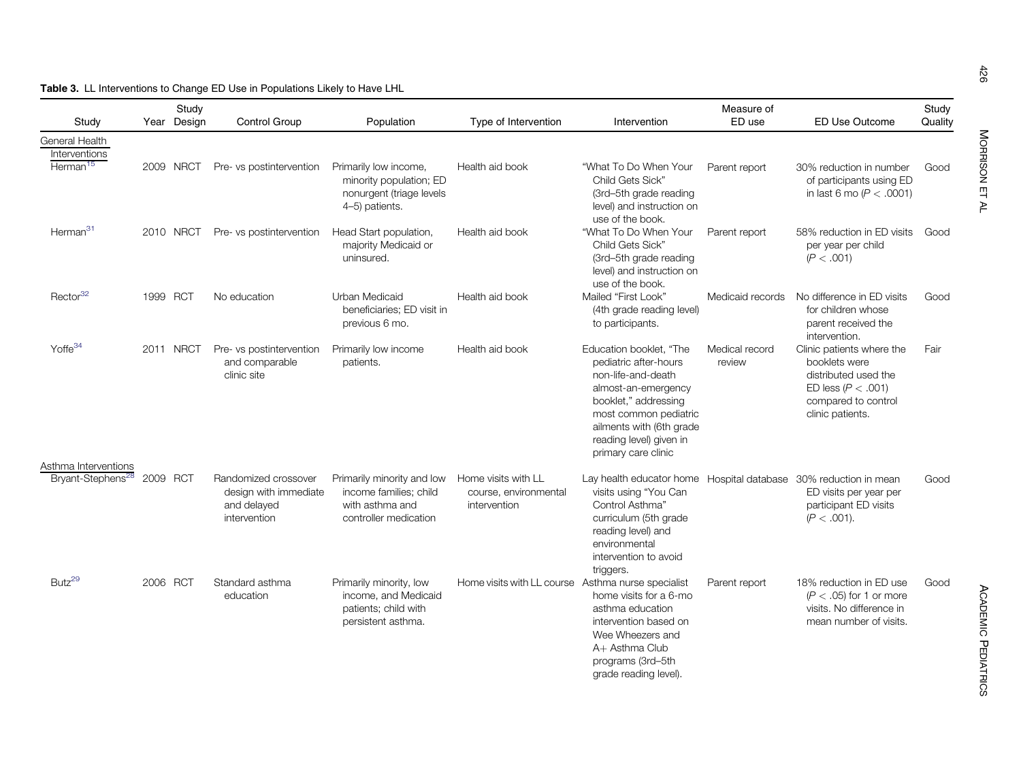| Study                                       |          | Study<br>Year Design | <b>Control Group</b>                                                         | Population                                                                                       | Type of Intervention                                         | Intervention                                                                                                                                                                                                                 | Measure of<br>ED use     | <b>ED Use Outcome</b>                                                                                                                   | Study<br>Quality |
|---------------------------------------------|----------|----------------------|------------------------------------------------------------------------------|--------------------------------------------------------------------------------------------------|--------------------------------------------------------------|------------------------------------------------------------------------------------------------------------------------------------------------------------------------------------------------------------------------------|--------------------------|-----------------------------------------------------------------------------------------------------------------------------------------|------------------|
| General Health                              |          |                      |                                                                              |                                                                                                  |                                                              |                                                                                                                                                                                                                              |                          |                                                                                                                                         |                  |
| Interventions<br>Herman <sup>15</sup>       |          | 2009 NRCT            | Pre- vs postintervention                                                     | Primarily low income,<br>minority population; ED<br>nonurgent (triage levels<br>4-5) patients.   | Health aid book                                              | "What To Do When Your<br>Child Gets Sick"<br>(3rd-5th grade reading<br>level) and instruction on<br>use of the book.                                                                                                         | Parent report            | 30% reduction in number<br>of participants using ED<br>in last 6 mo ( $P < .0001$ )                                                     | Good             |
| Herman <sup>31</sup>                        |          | 2010 NRCT            | Pre- vs postintervention                                                     | Head Start population,<br>majority Medicaid or<br>uninsured.                                     | Health aid book                                              | "What To Do When Your<br>Child Gets Sick"<br>(3rd-5th grade reading<br>level) and instruction on<br>use of the book.                                                                                                         | Parent report            | 58% reduction in ED visits<br>per year per child<br>(P < .001)                                                                          | Good             |
| Rector <sup>32</sup>                        | 1999 RCT |                      | No education                                                                 | Urban Medicaid<br>beneficiaries; ED visit in<br>previous 6 mo.                                   | Health aid book                                              | Mailed "First Look"<br>(4th grade reading level)<br>to participants.                                                                                                                                                         | Medicaid records         | No difference in ED visits<br>for children whose<br>parent received the<br>intervention.                                                | Good             |
| Yoffe <sup>34</sup><br>Asthma Interventions |          | 2011 NRCT            | Pre- vs postintervention<br>and comparable<br>clinic site                    | Primarily low income<br>patients.                                                                | Health aid book                                              | Education booklet, "The<br>pediatric after-hours<br>non-life-and-death<br>almost-an-emergency<br>booklet," addressing<br>most common pediatric<br>ailments with (6th grade<br>reading level) given in<br>primary care clinic | Medical record<br>review | Clinic patients where the<br>booklets were<br>distributed used the<br>ED less ( $P < .001$ )<br>compared to control<br>clinic patients. | Fair             |
| Bryant-Stephens <sup>28</sup>               | 2009 RCT |                      | Randomized crossover<br>design with immediate<br>and delayed<br>intervention | Primarily minority and low<br>income families; child<br>with asthma and<br>controller medication | Home visits with LL<br>course, environmental<br>intervention | Lay health educator home Hospital database 30% reduction in mean<br>visits using "You Can<br>Control Asthma"<br>curriculum (5th grade<br>reading level) and<br>environmental<br>intervention to avoid<br>triggers.           |                          | ED visits per year per<br>participant ED visits<br>$(P < .001)$ .                                                                       | Good             |
| Butz <sup>29</sup>                          | 2006 RCT |                      | Standard asthma<br>education                                                 | Primarily minority, low<br>income, and Medicaid<br>patients; child with<br>persistent asthma.    | Home visits with LL course                                   | Asthma nurse specialist<br>home visits for a 6-mo<br>asthma education<br>intervention based on<br>Wee Wheezers and<br>A+ Asthma Club<br>programs (3rd-5th<br>grade reading level).                                           | Parent report            | 18% reduction in ED use<br>$(P < .05)$ for 1 or more<br>visits. No difference in<br>mean number of visits.                              | Good             |

## <span id="page-5-0"></span>Table 3. LL Interventions to Change ED Use in Populations Likely to Have LHL

426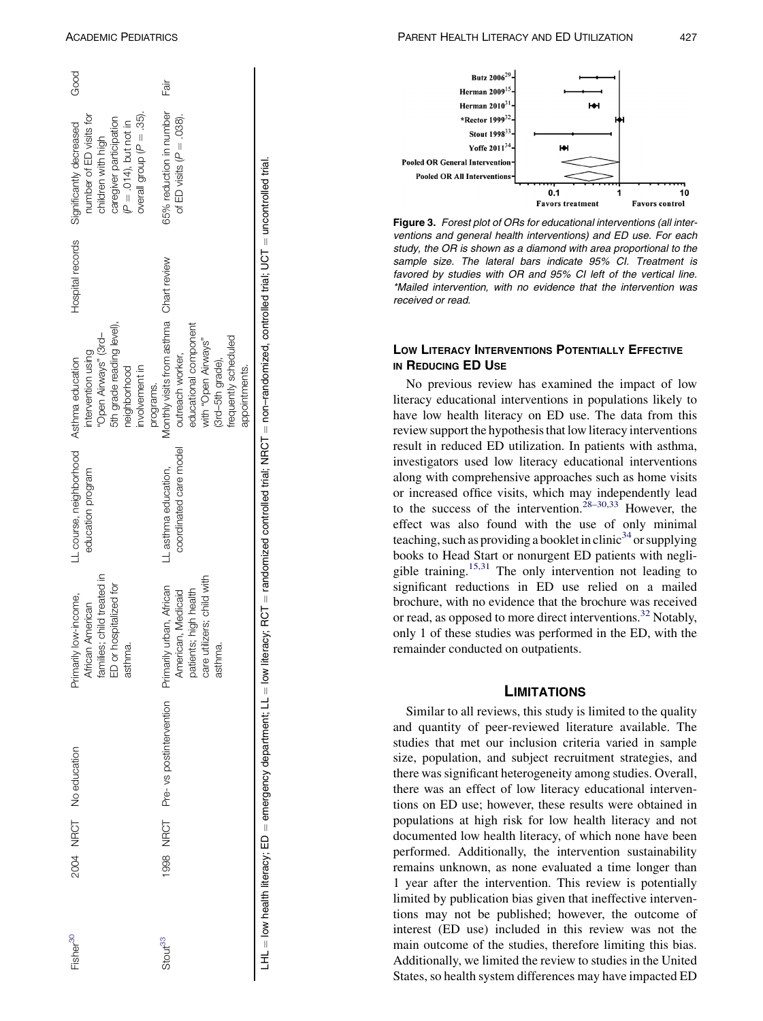<span id="page-6-0"></span>

| Fisher <sup>30</sup> | 2004 NRCT No education |                                   | families; child treated in<br>ED or hospitalized for<br>Primarily low-income,<br>African American<br>asthma     | LL course, neighborhood<br>education program                                                                                                                                   | 5th grade reading level),<br>"Open Airways" (3rd-<br>intervention using<br>Asthma education<br>neighborhood<br>involvement in<br>programs.                               | Hospital records | overall group $(P = .35)$ .<br>number of ED visits for<br>caregiver participation<br>$(P = .014)$ , but not in<br>Significantly decreased<br>children with high | Good |
|----------------------|------------------------|-----------------------------------|-----------------------------------------------------------------------------------------------------------------|--------------------------------------------------------------------------------------------------------------------------------------------------------------------------------|--------------------------------------------------------------------------------------------------------------------------------------------------------------------------|------------------|-----------------------------------------------------------------------------------------------------------------------------------------------------------------|------|
| Stout <sup>33</sup>  |                        | 1998 NRCT Pre-vs postintervention | care utilizers; child with<br>Primarily urban, African<br>patients; high health<br>American, Medicaid<br>asthma | coordinated care model<br>LL asthma education,                                                                                                                                 | Monthly visits from asthma Chart review<br>educational component<br>frequently scheduled<br>with "Open Airways"<br>outreach worker,<br>(3rd-5th grade),<br>appointments. |                  | 65% reduction in number Fair<br>of ED visits $(P = .038)$ .                                                                                                     |      |
|                      |                        |                                   |                                                                                                                 | LHL = low health literacy; ED = emergency department; LL = low literacy; RCT = randomized controlled trial; NRCT = non-randomized, controlled trial; UCT = uncontrolled trial; |                                                                                                                                                                          |                  |                                                                                                                                                                 |      |



Figure 3. Forest plot of ORs for educational interventions (all interventions and general health interventions) and ED use. For each study, the OR is shown as a diamond with area proportional to the sample size. The lateral bars indicate 95% CI. Treatment is favored by studies with OR and 95% CI left of the vertical line. \*Mailed intervention, with no evidence that the intervention was received or read.

## IN REDUCING ED LISE

No previous review has examined the impact of low literacy educational interventions in populations likely to have low health literacy on ED use. The data from this review support the hypothesis that low literacy interventions result in reduced ED utilization. In patients with asthma, investigators used low literacy educational interventions along with comprehensive approaches such as home visits or increased office visits, which may independently lead to the success of the intervention.<sup>[28–30,33](#page-7-0)</sup> However, the effect was also found with the use of only minimal teaching, such as providing a booklet in clinic<sup>[34](#page-8-0)</sup> or supplying books to Head Start or nonurgent ED patients with negligible training.<sup>15,31</sup> The only intervention not leading to significant reductions in ED use relied on a mailed brochure, with no evidence that the brochure was received or read, as opposed to more direct interventions.<sup>32</sup> Notably, only 1 of these studies was performed in the ED, with the remainder conducted on outpatients.

## **LIMITATIONS**

Similar to all reviews, this study is limited to the quality and quantity of peer-reviewed literature available. The studies that met our inclusion criteria varied in sample size, population, and subject recruitment strategies, and there was significant heterogeneity among studies. Overall, there was an effect of low literacy educational interventions on ED use; however, these results were obtained in populations at high risk for low health literacy and not documented low health literacy, of which none have been performed. Additionally, the intervention sustainability remains unknown, as none evaluated a time longer than 1 year after the intervention. This review is potentially limited by publication bias given that ineffective interventions may not be published; however, the outcome of interest (ED use) included in this review was not the main outcome of the studies, therefore limiting this bias. Additionally, we limited the review to studies in the United States, so health system differences may have impacted ED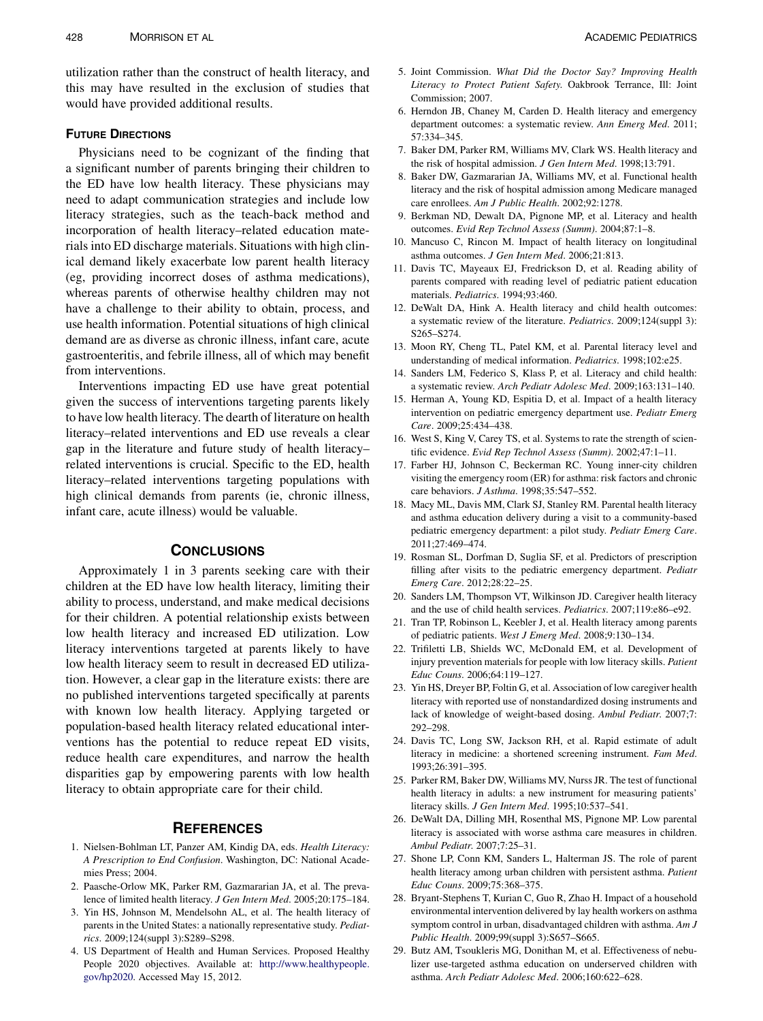<span id="page-7-0"></span>utilization rather than the construct of health literacy, and this may have resulted in the exclusion of studies that would have provided additional results.

**Physicians need to be cognizant of the finding that** a significant number of parents bringing their children to the ED have low health literacy. These physicians may need to adapt communication strategies and include low literacy strategies, such as the teach-back method and incorporation of health literacy–related education materials into ED discharge materials. Situations with high clinical demand likely exacerbate low parent health literacy (eg, providing incorrect doses of asthma medications), whereas parents of otherwise healthy children may not have a challenge to their ability to obtain, process, and use health information. Potential situations of high clinical demand are as diverse as chronic illness, infant care, acute gastroenteritis, and febrile illness, all of which may benefit from interventions.

Interventions impacting ED use have great potential given the success of interventions targeting parents likely to have low health literacy. The dearth of literature on health literacy–related interventions and ED use reveals a clear gap in the literature and future study of health literacy– related interventions is crucial. Specific to the ED, health literacy–related interventions targeting populations with high clinical demands from parents (ie, chronic illness, infant care, acute illness) would be valuable.

Approximately 1 in 3 parents seeking care with their children at the ED have low health literacy, limiting their ability to process, understand, and make medical decisions for their children. A potential relationship exists between low health literacy and increased ED utilization. Low literacy interventions targeted at parents likely to have low health literacy seem to result in decreased ED utilization. However, a clear gap in the literature exists: there are no published interventions targeted specifically at parents with known low health literacy. Applying targeted or population-based health literacy related educational interventions has the potential to reduce repeat ED visits, reduce health care expenditures, and narrow the health disparities gap by empowering parents with low health literacy to obtain appropriate care for their child.

- 1. Nielsen-Bohlman LT, Panzer AM, Kindig DA, eds. Health Literacy: A Prescription to End Confusion. Washington, DC: National Academies Press; 2004.
- 2. Paasche-Orlow MK, Parker RM, Gazmararian JA, et al. The prevalence of limited health literacy. J Gen Intern Med. 2005;20:175–184.
- 3. Yin HS, Johnson M, Mendelsohn AL, et al. The health literacy of parents in the United States: a nationally representative study. Pediatrics. 2009;124(suppl 3):S289–S298.
- 4. US Department of Health and Human Services. Proposed Healthy People 2020 objectives. Available at: [http://www.healthypeople.](http://www.healthypeople.gov/hp2020) [gov/hp2020](http://www.healthypeople.gov/hp2020). Accessed May 15, 2012.
- 5. Joint Commission. What Did the Doctor Say? Improving Health Literacy to Protect Patient Safety. Oakbrook Terrance, Ill: Joint Commission; 2007.
- 6. Herndon JB, Chaney M, Carden D. Health literacy and emergency department outcomes: a systematic review. Ann Emerg Med. 2011; 57:334–345.
- 7. Baker DM, Parker RM, Williams MV, Clark WS. Health literacy and the risk of hospital admission. J Gen Intern Med. 1998;13:791.
- 8. Baker DW, Gazmararian JA, Williams MV, et al. Functional health literacy and the risk of hospital admission among Medicare managed care enrollees. Am J Public Health. 2002;92:1278.
- 9. Berkman ND, Dewalt DA, Pignone MP, et al. Literacy and health outcomes. Evid Rep Technol Assess (Summ). 2004;87:1–8.
- 10. Mancuso C, Rincon M. Impact of health literacy on longitudinal asthma outcomes. J Gen Intern Med. 2006;21:813.
- 11. Davis TC, Mayeaux EJ, Fredrickson D, et al. Reading ability of parents compared with reading level of pediatric patient education materials. Pediatrics. 1994;93:460.
- 12. DeWalt DA, Hink A. Health literacy and child health outcomes: a systematic review of the literature. Pediatrics. 2009;124(suppl 3): S265–S274.
- 13. Moon RY, Cheng TL, Patel KM, et al. Parental literacy level and understanding of medical information. Pediatrics. 1998;102:e25.
- 14. Sanders LM, Federico S, Klass P, et al. Literacy and child health: a systematic review. Arch Pediatr Adolesc Med. 2009;163:131–140.
- 15. Herman A, Young KD, Espitia D, et al. Impact of a health literacy intervention on pediatric emergency department use. Pediatr Emerg Care. 2009;25:434–438.
- 16. West S, King V, Carey TS, et al. Systems to rate the strength of scientific evidence. Evid Rep Technol Assess (Summ). 2002;47:1–11.
- 17. Farber HJ, Johnson C, Beckerman RC. Young inner-city children visiting the emergency room (ER) for asthma: risk factors and chronic care behaviors. J Asthma. 1998;35:547–552.
- 18. Macy ML, Davis MM, Clark SJ, Stanley RM. Parental health literacy and asthma education delivery during a visit to a community-based pediatric emergency department: a pilot study. Pediatr Emerg Care. 2011;27:469–474.
- 19. Rosman SL, Dorfman D, Suglia SF, et al. Predictors of prescription filling after visits to the pediatric emergency department. Pediatr Emerg Care. 2012;28:22–25.
- 20. Sanders LM, Thompson VT, Wilkinson JD. Caregiver health literacy and the use of child health services. Pediatrics. 2007;119:e86–e92.
- 21. Tran TP, Robinson L, Keebler J, et al. Health literacy among parents of pediatric patients. West J Emerg Med. 2008;9:130–134.
- 22. Trifiletti LB, Shields WC, McDonald EM, et al. Development of injury prevention materials for people with low literacy skills. Patient Educ Couns. 2006;64:119–127.
- 23. Yin HS, Dreyer BP, Foltin G, et al. Association of low caregiver health literacy with reported use of nonstandardized dosing instruments and lack of knowledge of weight-based dosing. Ambul Pediatr. 2007;7: 292–298.
- 24. Davis TC, Long SW, Jackson RH, et al. Rapid estimate of adult literacy in medicine: a shortened screening instrument. Fam Med. 1993;26:391–395.
- 25. Parker RM, Baker DW, Williams MV, Nurss JR. The test of functional health literacy in adults: a new instrument for measuring patients' literacy skills. J Gen Intern Med. 1995;10:537–541.
- 26. DeWalt DA, Dilling MH, Rosenthal MS, Pignone MP. Low parental literacy is associated with worse asthma care measures in children. Ambul Pediatr. 2007;7:25–31.
- 27. Shone LP, Conn KM, Sanders L, Halterman JS. The role of parent health literacy among urban children with persistent asthma. Patient Educ Couns. 2009;75:368–375.
- 28. Bryant-Stephens T, Kurian C, Guo R, Zhao H. Impact of a household environmental intervention delivered by lay health workers on asthma symptom control in urban, disadvantaged children with asthma. Am J Public Health. 2009;99(suppl 3):S657–S665.
- 29. Butz AM, Tsoukleris MG, Donithan M, et al. Effectiveness of nebulizer use-targeted asthma education on underserved children with asthma. Arch Pediatr Adolesc Med. 2006;160:622–628.